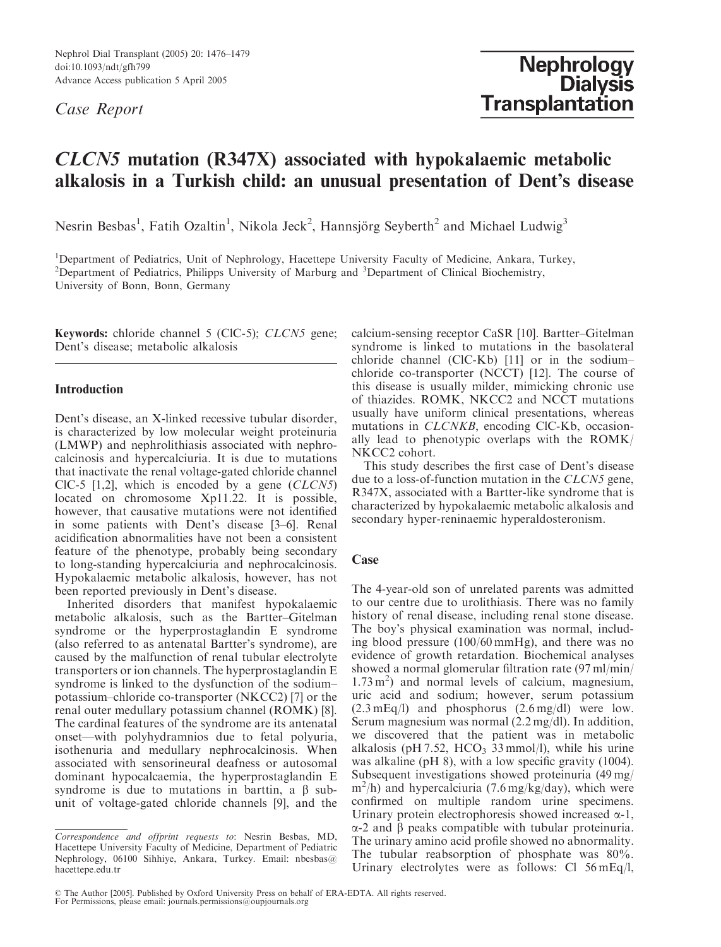Nephrol Dial Transplant (2005) 20: 1476–1479 doi:10.1093/ndt/gfh799 Advance Access publication 5 April 2005

Case Report

# CLCN5 mutation (R347X) associated with hypokalaemic metabolic alkalosis in a Turkish child: an unusual presentation of Dent's disease

Nesrin Besbas<sup>1</sup>, Fatih Ozaltin<sup>1</sup>, Nikola Jeck<sup>2</sup>, Hannsjörg Seyberth<sup>2</sup> and Michael Ludwig<sup>3</sup>

<sup>1</sup>Department of Pediatrics, Unit of Nephrology, Hacettepe University Faculty of Medicine, Ankara, Turkey, <sup>2</sup>Department of Pediatrics, Philipps University of Marburg and <sup>3</sup>Department of Clinical Biochemistry, University of Bonn, Bonn, Germany

Keywords: chloride channel 5 (ClC-5); CLCN5 gene; Dent's disease; metabolic alkalosis

## **Introduction**

Dent's disease, an X-linked recessive tubular disorder, is characterized by low molecular weight proteinuria (LMWP) and nephrolithiasis associated with nephrocalcinosis and hypercalciuria. It is due to mutations that inactivate the renal voltage-gated chloride channel ClC-5  $[1,2]$ , which is encoded by a gene  $(CLCN5)$ located on chromosome Xp11.22. It is possible, however, that causative mutations were not identified in some patients with Dent's disease [3–6]. Renal acidification abnormalities have not been a consistent feature of the phenotype, probably being secondary to long-standing hypercalciuria and nephrocalcinosis. Hypokalaemic metabolic alkalosis, however, has not been reported previously in Dent's disease.

Inherited disorders that manifest hypokalaemic metabolic alkalosis, such as the Bartter–Gitelman syndrome or the hyperprostaglandin E syndrome (also referred to as antenatal Bartter's syndrome), are caused by the malfunction of renal tubular electrolyte transporters or ion channels. The hyperprostaglandin E syndrome is linked to the dysfunction of the sodium– potassium–chloride co-transporter (NKCC2) [7] or the renal outer medullary potassium channel (ROMK) [8]. The cardinal features of the syndrome are its antenatal onset—with polyhydramnios due to fetal polyuria, isothenuria and medullary nephrocalcinosis. When associated with sensorineural deafness or autosomal dominant hypocalcaemia, the hyperprostaglandin E syndrome is due to mutations in barttin, a  $\beta$  subunit of voltage-gated chloride channels [9], and the calcium-sensing receptor CaSR [10]. Bartter–Gitelman syndrome is linked to mutations in the basolateral chloride channel (ClC-Kb) [11] or in the sodium– chloride co-transporter (NCCT) [12]. The course of this disease is usually milder, mimicking chronic use of thiazides. ROMK, NKCC2 and NCCT mutations usually have uniform clinical presentations, whereas mutations in CLCNKB, encoding ClC-Kb, occasionally lead to phenotypic overlaps with the ROMK/ NKCC2 cohort.

This study describes the first case of Dent's disease due to a loss-of-function mutation in the CLCN5 gene, R347X, associated with a Bartter-like syndrome that is characterized by hypokalaemic metabolic alkalosis and secondary hyper-reninaemic hyperaldosteronism.

### Case

The 4-year-old son of unrelated parents was admitted to our centre due to urolithiasis. There was no family history of renal disease, including renal stone disease. The boy's physical examination was normal, including blood pressure (100/60 mmHg), and there was no evidence of growth retardation. Biochemical analyses showed a normal glomerular filtration rate (97 ml/min/ 1.73 m<sup>2</sup>) and normal levels of calcium, magnesium, uric acid and sodium; however, serum potassium (2.3 mEq/l) and phosphorus (2.6 mg/dl) were low. Serum magnesium was normal (2.2 mg/dl). In addition, we discovered that the patient was in metabolic alkalosis (pH 7.52, HCO<sub>3</sub> 33 mmol/l), while his urine was alkaline (pH 8), with a low specific gravity (1004). Subsequent investigations showed proteinuria (49 mg/ m<sup>2</sup>/h) and hypercalciuria (7.6 mg/kg/day), which were confirmed on multiple random urine specimens. Urinary protein electrophoresis showed increased  $\alpha$ -1,  $\alpha$ -2 and  $\beta$  peaks compatible with tubular proteinuria. The urinary amino acid profile showed no abnormality. The tubular reabsorption of phosphate was 80%. Urinary electrolytes were as follows: Cl 56 mEq/l,

Correspondence and offprint requests to: Nesrin Besbas, MD, Hacettepe University Faculty of Medicine, Department of Pediatric Nephrology, 06100 Sihhiye, Ankara, Turkey. Email: nbesbas@ hacettepe.edu.tr

The Author [2005]. Published by Oxford University Press on behalf of ERA-EDTA. All rights reserved. For Permissions, please email: journals.permissions@oupjournals.org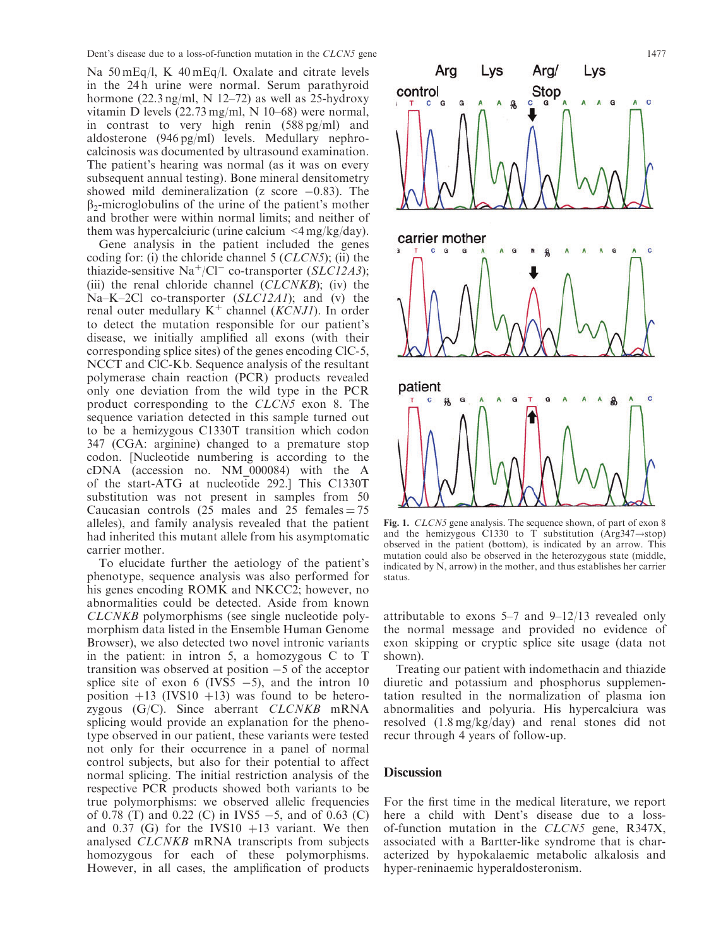Na 50 mEq/l, K 40 mEq/l. Oxalate and citrate levels in the 24 h urine were normal. Serum parathyroid hormone  $(22.3 \text{ ng/ml}, N 12-72)$  as well as 25-hydroxy vitamin D levels (22.73 mg/ml, N 10–68) were normal, in contrast to very high renin (588 pg/ml) and aldosterone (946 pg/ml) levels. Medullary nephrocalcinosis was documented by ultrasound examination. The patient's hearing was normal (as it was on every subsequent annual testing). Bone mineral densitometry showed mild demineralization (z score  $-0.83$ ). The  $\beta_2$ -microglobulins of the urine of the patient's mother and brother were within normal limits; and neither of them was hypercalciuric (urine calcium  $\langle 4 \rangle$  mg/kg/day).

Gene analysis in the patient included the genes coding for: (i) the chloride channel 5 (CLCN5); (ii) the thiazide-sensitive Na<sup>+</sup>/Cl<sup>-</sup> co-transporter (SLC12A3); (iii) the renal chloride channel  $(CLCNKB)$ ; (iv) the Na–K–2Cl co-transporter (SLC12A1); and (v) the renal outer medullary  $K^+$  channel (*KCNJ1*). In order to detect the mutation responsible for our patient's disease, we initially amplified all exons (with their corresponding splice sites) of the genes encoding ClC-5, NCCT and ClC-Kb. Sequence analysis of the resultant polymerase chain reaction (PCR) products revealed only one deviation from the wild type in the PCR product corresponding to the CLCN5 exon 8. The sequence variation detected in this sample turned out to be a hemizygous C1330T transition which codon 347 (CGA: arginine) changed to a premature stop codon. [Nucleotide numbering is according to the cDNA (accession no. NM\_000084) with the A of the start-ATG at nucleotide 292.] This C1330T substitution was not present in samples from 50 Caucasian controls (25 males and 25 females  $= 75$ alleles), and family analysis revealed that the patient had inherited this mutant allele from his asymptomatic carrier mother.

To elucidate further the aetiology of the patient's phenotype, sequence analysis was also performed for his genes encoding ROMK and NKCC2; however, no abnormalities could be detected. Aside from known CLCNKB polymorphisms (see single nucleotide polymorphism data listed in the Ensemble Human Genome Browser), we also detected two novel intronic variants in the patient: in intron 5, a homozygous C to T transition was observed at position  $-5$  of the acceptor splice site of exon 6 (IVS5  $-5$ ), and the intron 10 position  $+13$  (IVS10  $+13$ ) was found to be heterozygous  $(G/C)$ . Since aberrant  $CLCNKB$  mRNA splicing would provide an explanation for the phenotype observed in our patient, these variants were tested not only for their occurrence in a panel of normal control subjects, but also for their potential to affect normal splicing. The initial restriction analysis of the respective PCR products showed both variants to be true polymorphisms: we observed allelic frequencies of 0.78 (T) and 0.22 (C) in IVS5  $-5$ , and of 0.63 (C) and 0.37 (G) for the IVS10  $+13$  variant. We then analysed CLCNKB mRNA transcripts from subjects homozygous for each of these polymorphisms. However, in all cases, the amplification of products



Fig. 1. CLCN5 gene analysis. The sequence shown, of part of exon 8 and the hemizygous C1330 to T substitution (Arg347 $\rightarrow$ stop) observed in the patient (bottom), is indicated by an arrow. This mutation could also be observed in the heterozygous state (middle, indicated by N, arrow) in the mother, and thus establishes her carrier status.

attributable to exons 5–7 and 9–12/13 revealed only the normal message and provided no evidence of exon skipping or cryptic splice site usage (data not shown).

Treating our patient with indomethacin and thiazide diuretic and potassium and phosphorus supplementation resulted in the normalization of plasma ion abnormalities and polyuria. His hypercalciura was resolved (1.8 mg/kg/day) and renal stones did not recur through 4 years of follow-up.

#### **Discussion**

For the first time in the medical literature, we report here a child with Dent's disease due to a lossof-function mutation in the CLCN5 gene, R347X, associated with a Bartter-like syndrome that is characterized by hypokalaemic metabolic alkalosis and hyper-reninaemic hyperaldosteronism.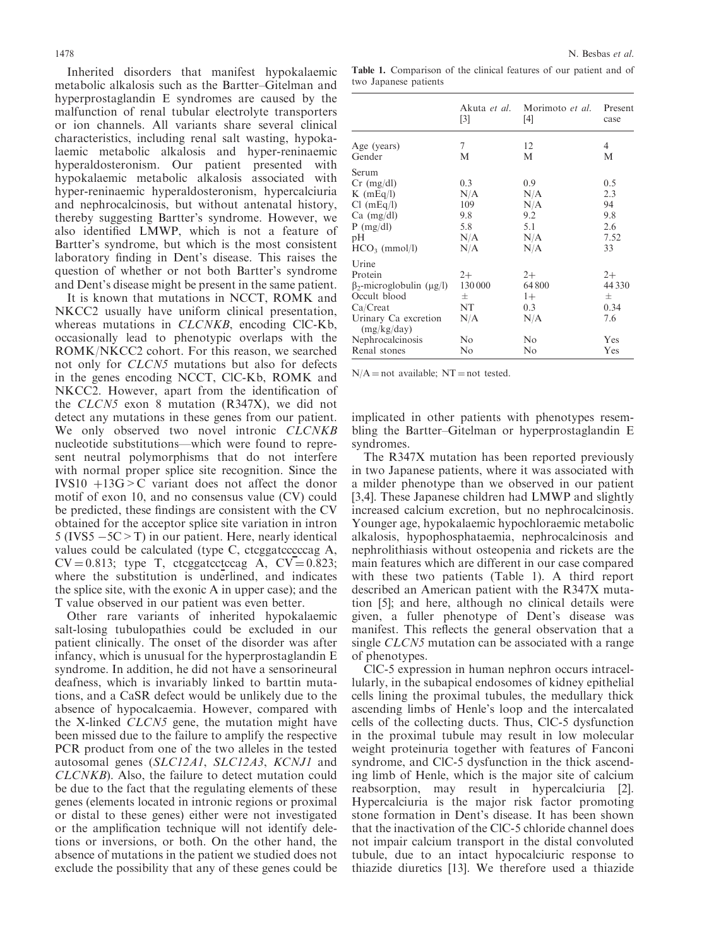Inherited disorders that manifest hypokalaemic metabolic alkalosis such as the Bartter–Gitelman and hyperprostaglandin E syndromes are caused by the malfunction of renal tubular electrolyte transporters or ion channels. All variants share several clinical characteristics, including renal salt wasting, hypokalaemic metabolic alkalosis and hyper-reninaemic hyperaldosteronism. Our patient presented with hypokalaemic metabolic alkalosis associated with

hyper-reninaemic hyperaldosteronism, hypercalciuria and nephrocalcinosis, but without antenatal history, thereby suggesting Bartter's syndrome. However, we also identified LMWP, which is not a feature of Bartter's syndrome, but which is the most consistent laboratory finding in Dent's disease. This raises the question of whether or not both Bartter's syndrome and Dent's disease might be present in the same patient.

It is known that mutations in NCCT, ROMK and NKCC2 usually have uniform clinical presentation, whereas mutations in *CLCNKB*, encoding ClC-Kb, occasionally lead to phenotypic overlaps with the ROMK/NKCC2 cohort. For this reason, we searched not only for CLCN5 mutations but also for defects in the genes encoding NCCT, ClC-Kb, ROMK and NKCC2. However, apart from the identification of the CLCN5 exon 8 mutation (R347X), we did not detect any mutations in these genes from our patient. We only observed two novel intronic CLCNKB nucleotide substitutions—which were found to represent neutral polymorphisms that do not interfere with normal proper splice site recognition. Since the IVS10  $+13G > C$  variant does not affect the donor motif of exon 10, and no consensus value (CV) could be predicted, these findings are consistent with the CV obtained for the acceptor splice site variation in intron  $5$  (IVS5  $-5C > T$ ) in our patient. Here, nearly identical values could be calculated (type C, ctcggatcccccag A,  $CV = 0.813$ ; type T, ctcggatectccag A,  $CV = 0.823$ ; where the substitution is underlined, and indicates the splice site, with the exonic A in upper case); and the T value observed in our patient was even better.

Other rare variants of inherited hypokalaemic salt-losing tubulopathies could be excluded in our patient clinically. The onset of the disorder was after infancy, which is unusual for the hyperprostaglandin E syndrome. In addition, he did not have a sensorineural deafness, which is invariably linked to barttin mutations, and a CaSR defect would be unlikely due to the absence of hypocalcaemia. However, compared with the X-linked CLCN5 gene, the mutation might have been missed due to the failure to amplify the respective PCR product from one of the two alleles in the tested autosomal genes (SLC12A1, SLC12A3, KCNJ1 and CLCNKB). Also, the failure to detect mutation could be due to the fact that the regulating elements of these genes (elements located in intronic regions or proximal or distal to these genes) either were not investigated or the amplification technique will not identify deletions or inversions, or both. On the other hand, the absence of mutations in the patient we studied does not exclude the possibility that any of these genes could be

Table 1. Comparison of the clinical features of our patient and of two Japanese patients

|                                     | Akuta <i>et al</i> .<br>$\lceil 3 \rceil$ | Morimoto et al.<br>[4] | Present<br>case |
|-------------------------------------|-------------------------------------------|------------------------|-----------------|
| Age (years)                         | 7                                         | 12                     | 4               |
| Gender                              | M                                         | М                      | М               |
| Serum                               |                                           |                        |                 |
| $Cr \ (mg/dl)$                      | 0.3                                       | 0.9                    | 0.5             |
| $K$ (mEq/l)                         | N/A                                       | N/A                    | 2.3             |
| $Cl$ (mEq/l)                        | 109                                       | N/A                    | 94              |
| $Ca \ (mg/dl)$                      | 9.8                                       | 9.2                    | 9.8             |
| $P$ (mg/dl)                         | 5.8                                       | 5.1                    | 2.6             |
| pH                                  | N/A                                       | N/A                    | 7.52            |
| $HCO3$ (mmol/l)                     | N/A                                       | N/A                    | 33              |
| Urine                               |                                           |                        |                 |
| Protein                             | $2+$                                      | $2+$                   | $2+$            |
| $\beta_2$ -microglobulin (µg/l)     | 130 000                                   | 64800                  | 44 3 3 0        |
| Occult blood                        | $^{+}$                                    | $1+$                   | $^{+}$          |
| Ca/Creat                            | NT                                        | 0.3                    | 0.34            |
| Urinary Ca excretion<br>(mg/kg/day) | N/A                                       | N/A                    | 7.6             |
| Nephrocalcinosis                    | No                                        | N <sub>0</sub>         | Yes             |
| Renal stones                        | No                                        | No                     | Yes             |

 $N/A = not available; NT = not tested.$ 

implicated in other patients with phenotypes resembling the Bartter–Gitelman or hyperprostaglandin E syndromes.

The R347X mutation has been reported previously in two Japanese patients, where it was associated with a milder phenotype than we observed in our patient [3,4]. These Japanese children had LMWP and slightly increased calcium excretion, but no nephrocalcinosis. Younger age, hypokalaemic hypochloraemic metabolic alkalosis, hypophosphataemia, nephrocalcinosis and nephrolithiasis without osteopenia and rickets are the main features which are different in our case compared with these two patients (Table 1). A third report described an American patient with the R347X mutation [5]; and here, although no clinical details were given, a fuller phenotype of Dent's disease was manifest. This reflects the general observation that a single CLCN5 mutation can be associated with a range of phenotypes.

ClC-5 expression in human nephron occurs intracellularly, in the subapical endosomes of kidney epithelial cells lining the proximal tubules, the medullary thick ascending limbs of Henle's loop and the intercalated cells of the collecting ducts. Thus, ClC-5 dysfunction in the proximal tubule may result in low molecular weight proteinuria together with features of Fanconi syndrome, and ClC-5 dysfunction in the thick ascending limb of Henle, which is the major site of calcium reabsorption, may result in hypercalciuria [2]. Hypercalciuria is the major risk factor promoting stone formation in Dent's disease. It has been shown that the inactivation of the ClC-5 chloride channel does not impair calcium transport in the distal convoluted tubule, due to an intact hypocalciuric response to thiazide diuretics [13]. We therefore used a thiazide